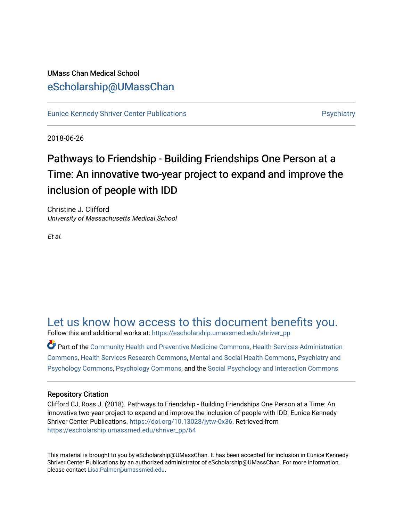### UMass Chan Medical School [eScholarship@UMassChan](https://escholarship.umassmed.edu/)

[Eunice Kennedy Shriver Center Publications](https://escholarship.umassmed.edu/shriver_pp) **Provides and Contact Automobile Providence** Psychiatry

2018-06-26

## Pathways to Friendship - Building Friendships One Person at a Time: An innovative two-year project to expand and improve the inclusion of people with IDD

Christine J. Clifford University of Massachusetts Medical School

Et al.

### [Let us know how access to this document benefits you.](https://arcsapps.umassmed.edu/redcap/surveys/?s=XWRHNF9EJE)

Follow this and additional works at: [https://escholarship.umassmed.edu/shriver\\_pp](https://escholarship.umassmed.edu/shriver_pp?utm_source=escholarship.umassmed.edu%2Fshriver_pp%2F64&utm_medium=PDF&utm_campaign=PDFCoverPages)

Part of the [Community Health and Preventive Medicine Commons](http://network.bepress.com/hgg/discipline/744?utm_source=escholarship.umassmed.edu%2Fshriver_pp%2F64&utm_medium=PDF&utm_campaign=PDFCoverPages), [Health Services Administration](http://network.bepress.com/hgg/discipline/747?utm_source=escholarship.umassmed.edu%2Fshriver_pp%2F64&utm_medium=PDF&utm_campaign=PDFCoverPages)  [Commons](http://network.bepress.com/hgg/discipline/747?utm_source=escholarship.umassmed.edu%2Fshriver_pp%2F64&utm_medium=PDF&utm_campaign=PDFCoverPages), [Health Services Research Commons](http://network.bepress.com/hgg/discipline/816?utm_source=escholarship.umassmed.edu%2Fshriver_pp%2F64&utm_medium=PDF&utm_campaign=PDFCoverPages), [Mental and Social Health Commons](http://network.bepress.com/hgg/discipline/709?utm_source=escholarship.umassmed.edu%2Fshriver_pp%2F64&utm_medium=PDF&utm_campaign=PDFCoverPages), [Psychiatry and](http://network.bepress.com/hgg/discipline/908?utm_source=escholarship.umassmed.edu%2Fshriver_pp%2F64&utm_medium=PDF&utm_campaign=PDFCoverPages)  [Psychology Commons,](http://network.bepress.com/hgg/discipline/908?utm_source=escholarship.umassmed.edu%2Fshriver_pp%2F64&utm_medium=PDF&utm_campaign=PDFCoverPages) [Psychology Commons,](http://network.bepress.com/hgg/discipline/404?utm_source=escholarship.umassmed.edu%2Fshriver_pp%2F64&utm_medium=PDF&utm_campaign=PDFCoverPages) and the [Social Psychology and Interaction Commons](http://network.bepress.com/hgg/discipline/430?utm_source=escholarship.umassmed.edu%2Fshriver_pp%2F64&utm_medium=PDF&utm_campaign=PDFCoverPages)

### Repository Citation

Clifford CJ, Ross J. (2018). Pathways to Friendship - Building Friendships One Person at a Time: An innovative two-year project to expand and improve the inclusion of people with IDD. Eunice Kennedy Shriver Center Publications. <https://doi.org/10.13028/jytw-0x36>. Retrieved from [https://escholarship.umassmed.edu/shriver\\_pp/64](https://escholarship.umassmed.edu/shriver_pp/64?utm_source=escholarship.umassmed.edu%2Fshriver_pp%2F64&utm_medium=PDF&utm_campaign=PDFCoverPages) 

This material is brought to you by eScholarship@UMassChan. It has been accepted for inclusion in Eunice Kennedy Shriver Center Publications by an authorized administrator of eScholarship@UMassChan. For more information, please contact [Lisa.Palmer@umassmed.edu](mailto:Lisa.Palmer@umassmed.edu).